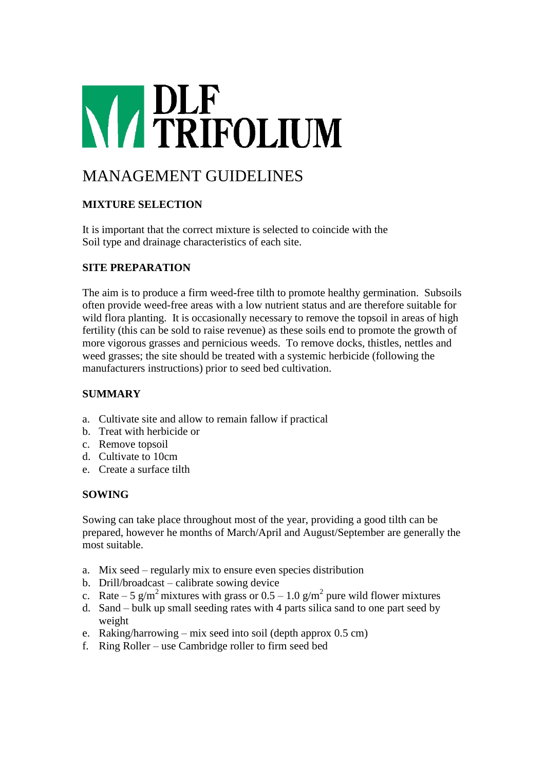# **NAPLE**<br> **NAPLE**<br> **NAPLE**<br> **NAPLE**<br> **NAPLE**

# MANAGEMENT GUIDELINES

# **MIXTURE SELECTION**

It is important that the correct mixture is selected to coincide with the Soil type and drainage characteristics of each site.

# **SITE PREPARATION**

The aim is to produce a firm weed-free tilth to promote healthy germination. Subsoils often provide weed-free areas with a low nutrient status and are therefore suitable for wild flora planting. It is occasionally necessary to remove the topsoil in areas of high fertility (this can be sold to raise revenue) as these soils end to promote the growth of more vigorous grasses and pernicious weeds. To remove docks, thistles, nettles and weed grasses; the site should be treated with a systemic herbicide (following the manufacturers instructions) prior to seed bed cultivation.

# **SUMMARY**

- a. Cultivate site and allow to remain fallow if practical
- b. Treat with herbicide or
- c. Remove topsoil
- d. Cultivate to 10cm
- e. Create a surface tilth

### **SOWING**

Sowing can take place throughout most of the year, providing a good tilth can be prepared, however he months of March/April and August/September are generally the most suitable.

- a. Mix seed regularly mix to ensure even species distribution
- b. Drill/broadcast calibrate sowing device
- c. Rate 5 g/m<sup>2</sup> mixtures with grass or  $0.5 1.0$  g/m<sup>2</sup> pure wild flower mixtures
- d. Sand bulk up small seeding rates with 4 parts silica sand to one part seed by weight
- e. Raking/harrowing mix seed into soil (depth approx 0.5 cm)
- f. Ring Roller use Cambridge roller to firm seed bed